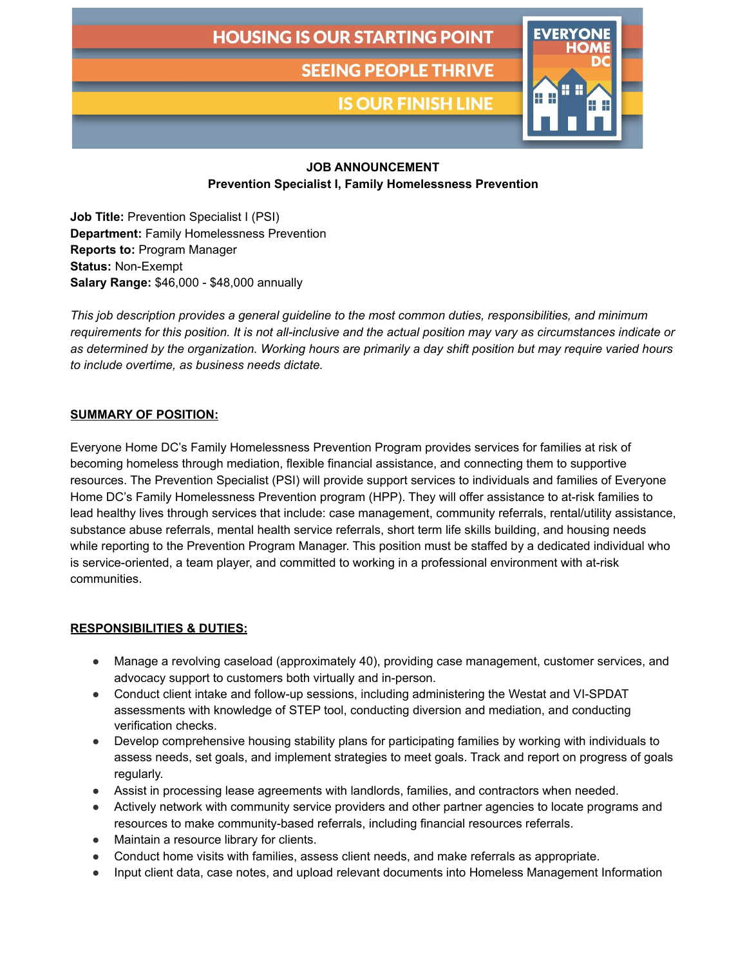# **HOUSING IS OUR STARTING POINT**

**SEEING PEOPLE THRIVE** 

**IS OUR FINISH LINE** 



## **JOB ANNOUNCEMENT**

**Prevention Specialist I, Family Homelessness Prevention**

**Job Title:** Prevention Specialist I (PSI) **Department:** Family Homelessness Prevention **Reports to:** Program Manager **Status:** Non-Exempt **Salary Range:** \$46,000 - \$48,000 annually

*This job description provides a general guideline to the most common duties, responsibilities, and minimum* requirements for this position. It is not all-inclusive and the actual position may vary as circumstances indicate or as determined by the organization. Working hours are primarily a day shift position but may require varied hours *to include overtime, as business needs dictate.*

#### **SUMMARY OF POSITION:**

Everyone Home DC's Family Homelessness Prevention Program provides services for families at risk of becoming homeless through mediation, flexible financial assistance, and connecting them to supportive resources. The Prevention Specialist (PSI) will provide support services to individuals and families of Everyone Home DC's Family Homelessness Prevention program (HPP). They will offer assistance to at-risk families to lead healthy lives through services that include: case management, community referrals, rental/utility assistance, substance abuse referrals, mental health service referrals, short term life skills building, and housing needs while reporting to the Prevention Program Manager. This position must be staffed by a dedicated individual who is service-oriented, a team player, and committed to working in a professional environment with at-risk communities.

#### **RESPONSIBILITIES & DUTIES:**

- Manage a revolving caseload (approximately 40), providing case management, customer services, and advocacy support to customers both virtually and in-person.
- Conduct client intake and follow-up sessions, including administering the Westat and VI-SPDAT assessments with knowledge of STEP tool, conducting diversion and mediation, and conducting verification checks.
- Develop comprehensive housing stability plans for participating families by working with individuals to assess needs, set goals, and implement strategies to meet goals. Track and report on progress of goals regularly.
- Assist in processing lease agreements with landlords, families, and contractors when needed.
- Actively network with community service providers and other partner agencies to locate programs and resources to make community-based referrals, including financial resources referrals.
- Maintain a resource library for clients.
- Conduct home visits with families, assess client needs, and make referrals as appropriate.
- Input client data, case notes, and upload relevant documents into Homeless Management Information